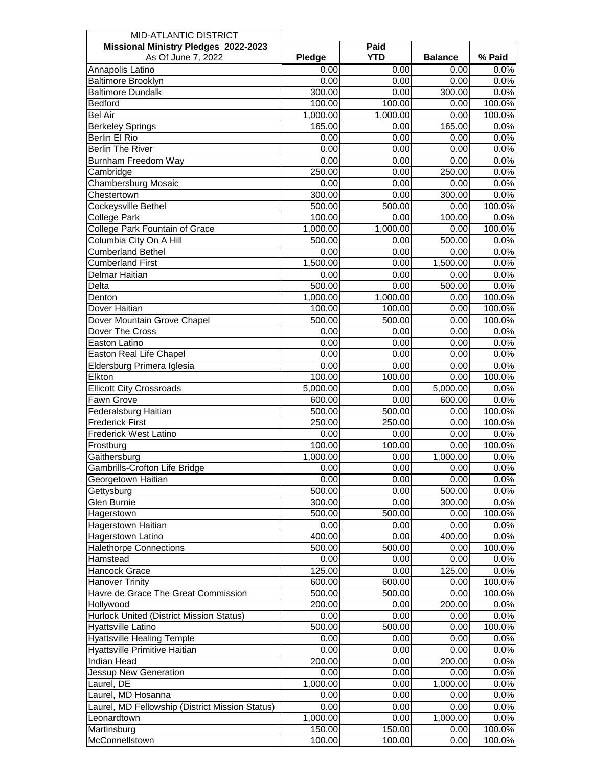| <b>MID-ATLANTIC DISTRICT</b>                    |                       |            |                |        |
|-------------------------------------------------|-----------------------|------------|----------------|--------|
| Missional Ministry Pledges 2022-2023            |                       | Paid       |                |        |
| As Of June 7, 2022                              | Pledge                | <b>YTD</b> | <b>Balance</b> | % Paid |
| Annapolis Latino                                | 0.00                  | 0.00       | 0.00           | 0.0%   |
| <b>Baltimore Brooklyn</b>                       | 0.00                  | 0.00       | 0.00           | 0.0%   |
| <b>Baltimore Dundalk</b>                        | 300.00                | 0.00       | 300.00         | 0.0%   |
| <b>Bedford</b>                                  | 100.00                | 100.00     | 0.00           | 100.0% |
| <b>Bel Air</b>                                  | 1,000.00              | 1,000.00   | 0.00           | 100.0% |
| <b>Berkeley Springs</b>                         | 165.00                | 0.00       | 165.00         | 0.0%   |
| <b>Berlin El Rio</b>                            | 0.00                  | 0.00       | 0.00           | 0.0%   |
| <b>Berlin The River</b>                         | 0.00                  | 0.00       | 0.00           | 0.0%   |
| <b>Burnham Freedom Way</b>                      | 0.00                  | 0.00       | 0.00           | 0.0%   |
| Cambridge                                       | 250.00                | 0.00       | 250.00         | 0.0%   |
| Chambersburg Mosaic                             | 0.00                  | 0.00       | 0.00           | 0.0%   |
| Chestertown                                     | 300.00                | 0.00       | 300.00         | 0.0%   |
| Cockeysville Bethel                             | 500.00                | 500.00     | 0.00           | 100.0% |
| College Park                                    | 100.00                | 0.00       | 100.00         | 0.0%   |
| <b>College Park Fountain of Grace</b>           | $\overline{1,000.00}$ | 1,000.00   | 0.00           | 100.0% |
| Columbia City On A Hill                         | 500.00                | 0.00       | 500.00         | 0.0%   |
| <b>Cumberland Bethel</b>                        | 0.00                  | 0.00       | 0.00           | 0.0%   |
| <b>Cumberland First</b>                         | 1,500.00              | 0.00       | 1,500.00       | 0.0%   |
| <b>Delmar Haitian</b>                           | 0.00                  | 0.00       | 0.00           | 0.0%   |
| Delta                                           | 500.00                | 0.00       | 500.00         | 0.0%   |
| Denton                                          | 1,000.00              | 1,000.00   | 0.00           | 100.0% |
| Dover Haitian                                   | 100.00                | 100.00     | 0.00           | 100.0% |
| Dover Mountain Grove Chapel                     | 500.00                | 500.00     | 0.00           | 100.0% |
| Dover The Cross                                 | 0.00                  | 0.00       | 0.00           | 0.0%   |
| Easton Latino                                   | 0.00                  | 0.00       | 0.00           | 0.0%   |
| Easton Real Life Chapel                         | 0.00                  | 0.00       | 0.00           | 0.0%   |
| Eldersburg Primera Iglesia                      | 0.00                  | 0.00       | 0.00           | 0.0%   |
| Elkton                                          | 100.00                |            |                | 100.0% |
|                                                 |                       | 100.00     | 0.00           |        |
| <b>Ellicott City Crossroads</b>                 | 5,000.00              | 0.00       | 5,000.00       | 0.0%   |
| Fawn Grove                                      | 600.00                | 0.00       | 600.00         | 0.0%   |
| Federalsburg Haitian<br><b>Frederick First</b>  | 500.00<br>250.00      | 500.00     | 0.00           | 100.0% |
| <b>Frederick West Latino</b>                    |                       | 250.00     | 0.00           | 100.0% |
|                                                 | 0.00                  | 0.00       | 0.00           | 0.0%   |
| Frostburg                                       | 100.00                | 100.00     | 0.00           | 100.0% |
| Gaithersburg                                    | 1,000.00              | 0.00       | 1,000.00       | 0.0%   |
| <b>Gambrills-Crofton Life Bridge</b>            | 0.00                  | 0.00       | 0.00           | 0.0%   |
| Georgetown Haitian                              | 0.00                  | 0.00       | 0.00           | 0.0%   |
| Gettysburg                                      | 500.00                | 0.00       | 500.00         | 0.0%   |
| Glen Burnie                                     | 300.00                | 0.00       | 300.00         | 0.0%   |
| Hagerstown                                      | 500.00                | 500.00     | 0.00           | 100.0% |
| Hagerstown Haitian                              | 0.00                  | 0.00       | 0.00           | 0.0%   |
| Hagerstown Latino                               | 400.00                | 0.00       | 400.00         | 0.0%   |
| <b>Halethorpe Connections</b>                   | 500.00                | 500.00     | 0.00           | 100.0% |
| Hamstead                                        | 0.00                  | 0.00       | 0.00           | 0.0%   |
| Hancock Grace                                   | 125.00                | 0.00       | 125.00         | 0.0%   |
| <b>Hanover Trinity</b>                          | 600.00                | 600.00     | 0.00           | 100.0% |
| Havre de Grace The Great Commission             | 500.00                | 500.00     | 0.00           | 100.0% |
| Hollywood                                       | 200.00                | 0.00       | 200.00         | 0.0%   |
| Hurlock United (District Mission Status)        | 0.00                  | 0.00       | 0.00           | 0.0%   |
| Hyattsville Latino                              | 500.00                | 500.00     | 0.00           | 100.0% |
| <b>Hyattsville Healing Temple</b>               | 0.00                  | 0.00       | 0.00           | 0.0%   |
| Hyattsville Primitive Haitian                   | 0.00                  | 0.00       | 0.00           | 0.0%   |
| <b>Indian Head</b>                              | 200.00                | 0.00       | 200.00         | 0.0%   |
| Jessup New Generation                           | 0.00                  | 0.00       | 0.00           | 0.0%   |
| Laurel, DE                                      | 1,000.00              | 0.00       | 1,000.00       | 0.0%   |
| Laurel, MD Hosanna                              | 0.00                  | 0.00       | 0.00           | 0.0%   |
| Laurel, MD Fellowship (District Mission Status) | 0.00                  | 0.00       | 0.00           | 0.0%   |
| Leonardtown                                     | 1,000.00              | 0.00       | 1,000.00       | 0.0%   |
| Martinsburg                                     | 150.00                | 150.00     | 0.00           | 100.0% |
| McConnellstown                                  | 100.00                | 100.00     | 0.00           | 100.0% |